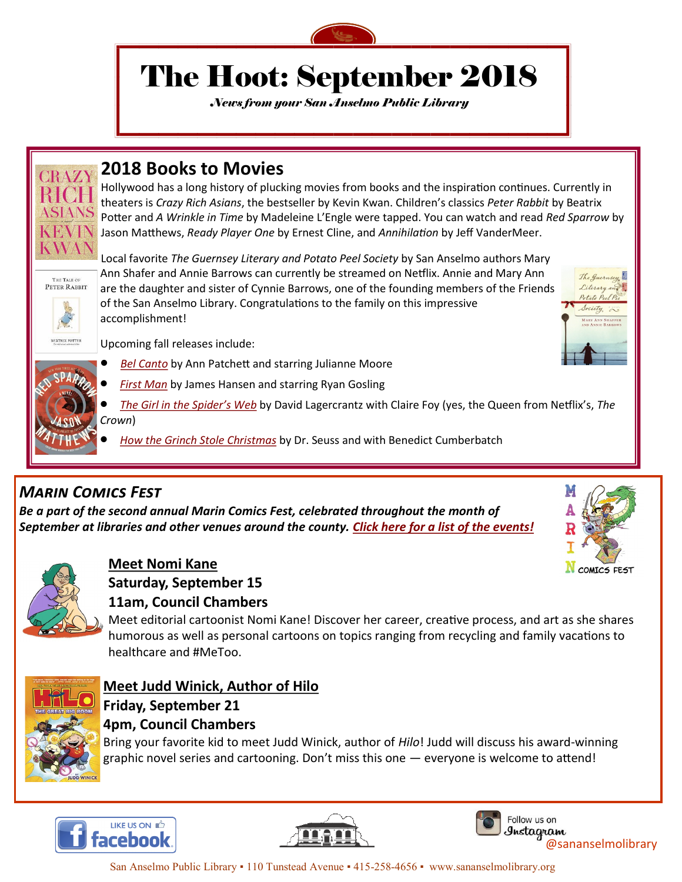

# The Hoot: September 2018

*News from your San Anselmo Public Library*



THE TALE OF PETER RABBIT

### **2018 Books to Movies**

Hollywood has a long history of plucking movies from books and the inspiration continues. Currently in theaters is *Crazy Rich Asians*, the bestseller by Kevin Kwan. Children's classics *Peter Rabbit* by Beatrix Potter and *A Wrinkle in Time* by Madeleine L'Engle were tapped. You can watch and read *Red Sparrow* by Jason Matthews, *Ready Player One* by Ernest Cline, and *Annihilation* by Jeff VanderMeer.

Local favorite *The Guernsey Literary and Potato Peel Society* by San Anselmo authors Mary Ann Shafer and Annie Barrows can currently be streamed on Netflix. Annie and Mary Ann are the daughter and sister of Cynnie Barrows, one of the founding members of the Friends of the San Anselmo Library. Congratulations to the family on this impressive accomplishment!

Upcoming fall releases include:

- *[Bel Canto](https://marinet.bibliocommons.com/item/show/1436014113)* by Ann Patchett and starring Julianne Moore
- *[First Man](https://marinet.bibliocommons.com/item/show/1591253113)* by James Hansen and starring Ryan Gosling
- *[The Girl in the Spider's Web](https://marinet.bibliocommons.com/item/show/2128866113)* by David [Lagercrantz w](https://marinet.bibliocommons.com/v2/search?query=Lagercrantz%2C+David&searchType=author)ith Claire Foy (yes, the Queen from Netflix's, *The Crown*)
- *[How the Grinch Stole Christmas](https://marinet.bibliocommons.com/item/show/1280100113)* by Dr. Seuss and with Benedict Cumberbatch

## *Marin Comics Fest*

*Be a part of the second annual Marin Comics Fest, celebrated throughout the month of September at libraries and other venues around the county. [Click here for a list of the events!](https://www.facebook.com/pg/MarinComicsFest/events/?ref=page_internal)*



The Guernsey

Literary and Potato Peel P Society is



### **Meet Nomi Kane**

**Saturday, September 15**

#### **11am, Council Chambers**

Meet editorial cartoonist Nomi Kane! Discover her career, creative process, and art as she shares humorous as well as personal cartoons on topics ranging from recycling and family vacations to healthcare and #MeToo.



### **Meet Judd Winick, Author of Hilo Friday, September 21 4pm, Council Chambers**

Bring your favorite kid to meet Judd Winick, author of *Hilo*! Judd will discuss his award-winning graphic novel series and cartooning. Don't miss this one — everyone is welcome to attend!







[@san](https://www.facebook.com/San-Anselmo-Public-Library-121557127933755/)anselmolibrary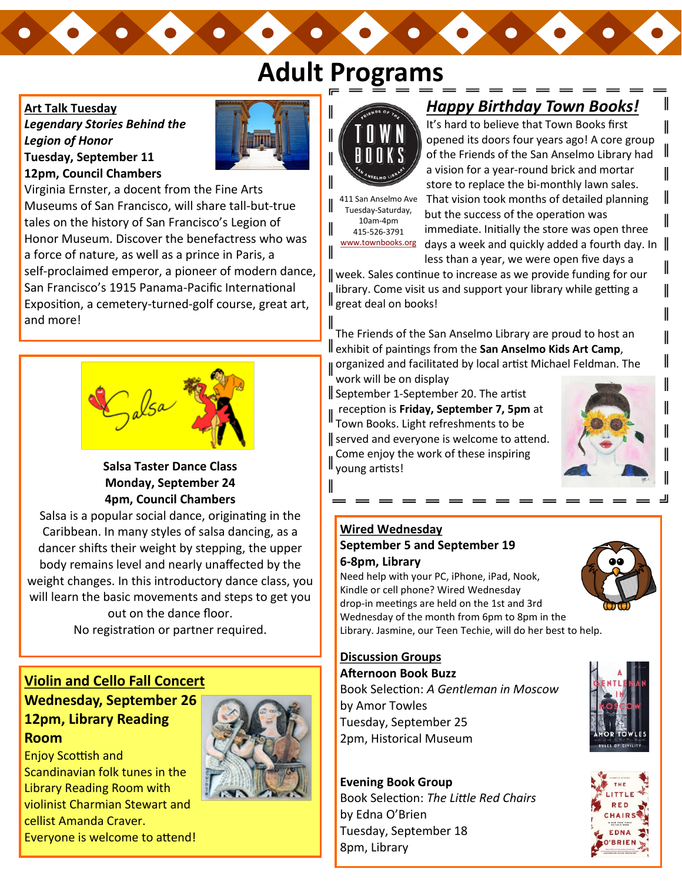# **Adult Programs**

#### **Art Talk Tuesday**

*Legendary Stories Behind the Legion of Honor* **Tuesday, September 11 12pm, Council Chambers**



Virginia Ernster, a docent from the Fine Arts Museums of San Francisco, will share tall-but-true tales on the history of San Francisco's Legion of Honor Museum. Discover the benefactress who was a force of nature, as well as a prince in Paris, a self-proclaimed emperor, a pioneer of modern dance, San Francisco's 1915 Panama-Pacific International Exposition, a cemetery-turned-golf course, great art, and more!



#### **Salsa Taster Dance Class Monday, September 24 4pm, Council Chambers**

Salsa is a popular social dance, originating in the Caribbean. In many styles of salsa dancing, as a dancer shifts their weight by stepping, the upper body remains level and nearly unaffected by the weight changes. In this introductory dance class, you will learn the basic movements and steps to get you out on the dance floor.

No registration or partner required.

### **Violin and Cello Fall Concert Wednesday, September 26 12pm, Library Reading Room**

Enjoy Scottish and Scandinavian folk tunes in the Library Reading Room with violinist Charmian Stewart and cellist Amanda Craver. Everyone is welcome to attend!



### *Happy Birthday Town Books!*

It's hard to believe that Town Books first opened its doors four years ago! A core group of the Friends of the San Anselmo Library had a vision for a year-round brick and mortar store to replace the bi-monthly lawn sales.

411 San Anselmo Ave Tuesday-Saturday, 10am-4pm 415-526-3791

That vision took months of detailed planning but the success of the operation was immediate. Initially the store was open three [www.townbooks.org](http://www.townbooks.org/) days a week and quickly added a fourth day. In less than a year, we were open five days a

week. Sales continue to increase as we provide funding for our library. Come visit us and support your library while getting a ll great deal on books!

The Friends of the San Anselmo Library are proud to host an exhibit of paintings from the **San Anselmo Kids Art Camp**, organized and facilitated by local artist Michael Feldman. The

work will be on display September 1-September 20. The artist

reception is **Friday, September 7, 5pm** at  $\parallel$  reception is **rivaly**,  $\cup$ ----<br>Town Books. Light refreshments to be served and everyone is welcome to attend. Come enjoy the work of these inspiring  $\int_{0}^{\frac{1}{2}} \int_{0}^{\frac{1}{2}} \frac{1}{1}$  young artists!



 $\mathsf{l}$ 

 $\parallel$ 

II

II

I

II

#### **Wired Wednesday September 5 and September 19 6-8pm, Library**

Need help with your PC, iPhone, iPad, Nook, Kindle or cell phone? Wired Wednesday drop-in meetings are held on the 1st and 3rd Wednesday of the month from 6pm to 8pm in the Library. Jasmine, our Teen Techie, will do her best to help.



#### **Discussion Groups Afternoon Book Buzz**

Book Selection: *A Gentleman in Moscow*  by Amor Towles Tuesday, September 25 2pm, Historical Museum

#### **Evening Book Group**

Book Selection: *The Little Red Chairs*  by Edna O'Brien Tuesday, September 18 8pm, Library